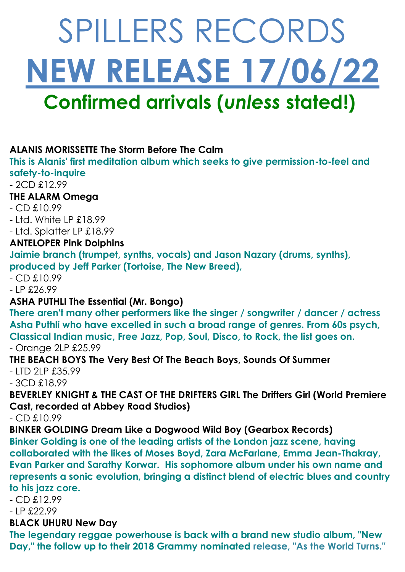# SPILLERS RECORDS **NEW RELEASE 17/06/22 Confirmed arrivals (***unless* **stated!)**

#### **ALANIS MORISSETTE The Storm Before The Calm**

**This is Alanis' first meditation album which seeks to give permission-to-feel and safety-to-inquire**

 $-2CD$  £12.99

**THE ALARM Omega**

- CD £10.99

- Ltd. White LP £18.99

- Ltd. Splatter LP £18.99

#### **ANTELOPER Pink Dolphins**

**Jaimie branch (trumpet, synths, vocals) and Jason Nazary (drums, synths), produced by Jeff Parker (Tortoise, The New Breed),**

- CD £10.99

 $- IP$  £26.99

#### **ASHA PUTHLI The Essential (Mr. Bongo)**

**There aren't many other performers like the singer / songwriter / dancer / actress Asha Puthli who have excelled in such a broad range of genres. From 60s psych, Classical Indian music, Free Jazz, Pop, Soul, Disco, to Rock, the list goes on.**

- Orange 2LP £25.99

**THE BEACH BOYS The Very Best Of The Beach Boys, Sounds Of Summer** 

- LTD 2LP £35.99

- 3CD £18.99

**BEVERLEY KNIGHT & THE CAST OF THE DRIFTERS GIRL The Drifters Girl (World Premiere Cast, recorded at Abbey Road Studios)**

- CD £10.99

**BINKER GOLDING Dream Like a Dogwood Wild Boy (Gearbox Records) Binker Golding is one of the leading artists of the London jazz scene, having collaborated with the likes of Moses Boyd, Zara McFarlane, Emma Jean-Thakray, Evan Parker and Sarathy Korwar. His sophomore album under his own name and represents a sonic evolution, bringing a distinct blend of electric blues and country to his jazz core.**

- CD £12.99

- LP £22.99

#### **BLACK UHURU New Day**

**The legendary reggae powerhouse is back with a brand new studio album, "New Day," the follow up to their 2018 Grammy nominated release, "As the World Turns."**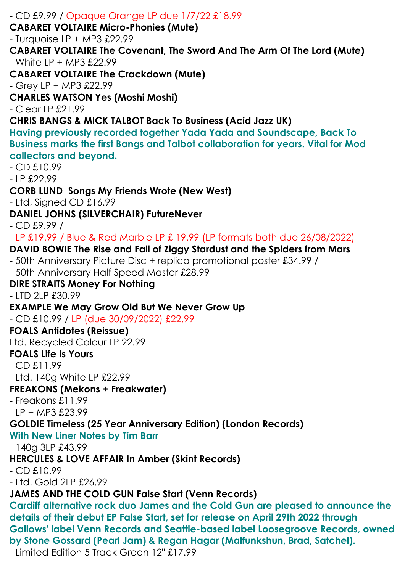- CD £9.99 / Opaque Orange LP due 1/7/22 £18.99 **CABARET VOLTAIRE Micro-Phonies (Mute)**  - Turquoise LP + MP3 £22.99 **CABARET VOLTAIRE The Covenant, The Sword And The Arm Of The Lord (Mute)**  - White LP + MP3 £22.99 **CABARET VOLTAIRE The Crackdown (Mute)**  - Grey LP + MP3 £22.99 **CHARLES WATSON Yes (Moshi Moshi)**  - Clear LP £21.99 **CHRIS BANGS & MICK TALBOT Back To Business (Acid Jazz UK) Having previously recorded together Yada Yada and Soundscape, Back To Business marks the first Bangs and Talbot collaboration for years. Vital for Mod collectors and beyond.**  $-$  CD  $£10.99$ - LP £22.99 **CORB LUND Songs My Friends Wrote (New West)** - Ltd, Signed CD £16.99 **DANIEL JOHNS (SILVERCHAIR) FutureNever**  - CD £9.99 / - LP £19.99 / Blue & Red Marble LP £ 19.99 (LP formats both due 26/08/2022) **DAVID BOWIE The Rise and Fall of Ziggy Stardust and the Spiders from Mars**  - 50th Anniversary Picture Disc + replica promotional poster £34.99 / - 50th Anniversary Half Speed Master £28.99 **DIRE STRAITS Money For Nothing** - LTD 2LP £30.99 **EXAMPLE We May Grow Old But We Never Grow Up**  - CD £10.99 / LP (due 30/09/2022) £22.99 **FOALS Antidotes (Reissue)** Ltd. Recycled Colour LP 22.99 **FOALS Life Is Yours** - CD £11.99 - Ltd. 140g White LP £22.99 **FREAKONS (Mekons + Freakwater)** - Freakons £11.99 - LP + MP3 £23.99 **GOLDIE Timeless (25 Year Anniversary Edition) (London Records) With New Liner Notes by Tim Barr** - 140g 3LP £43.99 **HERCULES & LOVE AFFAIR In Amber (Skint Records)**  - CD £10.99 - Ltd. Gold 2LP £26.99 **JAMES AND THE COLD GUN False Start (Venn Records) Cardiff alternative rock duo James and the Cold Gun are pleased to announce the details of their debut EP False Start, set for release on April 29th 2022 through Gallows' label Venn Records and Seattle-based label Loosegroove Records, owned by Stone Gossard (Pearl Jam) & Regan Hagar (Malfunkshun, Brad, Satchel).** - Limited Edition 5 Track Green 12" £17.99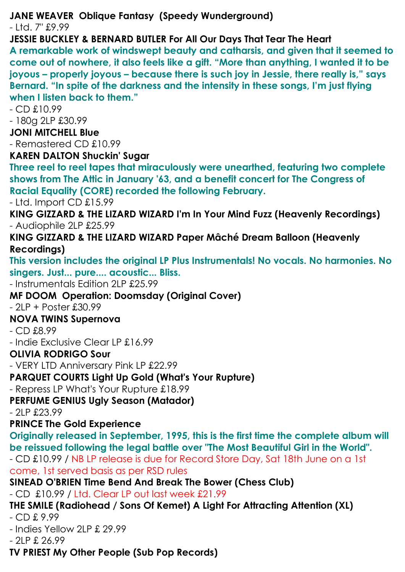**JANE WEAVER Oblique Fantasy (Speedy Wunderground)**

- Ltd. 7" £9.99

**JESSIE BUCKLEY & BERNARD BUTLER For All Our Days That Tear The Heart**

**A remarkable work of windswept beauty and catharsis, and given that it seemed to come out of nowhere, it also feels like a gift. "More than anything, I wanted it to be joyous – properly joyous – because there is such joy in Jessie, there really is," says Bernard. "In spite of the darkness and the intensity in these songs, I'm just flying when I listen back to them."**

- CD £10.99

- 180g 2LP £30.99

**JONI MITCHELL Blue** 

- Remastered CD £10.99

**KAREN DALTON Shuckin' Sugar**

**Three reel to reel tapes that miraculously were unearthed, featuring two complete shows from The Attic in January '63, and a benefit concert for The Congress of Racial Equality (CORE) recorded the following February.**

- Ltd. Import CD £15.99

**KING GIZZARD & THE LIZARD WIZARD I'm In Your Mind Fuzz (Heavenly Recordings)** - Audiophile 2LP £25.99

**KING GIZZARD & THE LIZARD WIZARD Paper Mâché Dream Balloon (Heavenly Recordings)** 

**This version includes the original LP Plus Instrumentals! No vocals. No harmonies. No singers. Just... pure.... acoustic... Bliss.**

- Instrumentals Edition 2LP £25.99

**MF DOOM Operation: Doomsday (Original Cover)**

- 2LP + Poster £30.99

#### **NOVA TWINS Supernova**

- CD £8.99

- Indie Exclusive Clear LP £16.99

#### **OLIVIA RODRIGO Sour**

- VERY LTD Anniversary Pink LP £22.99

**PARQUET COURTS Light Up Gold (What's Your Rupture)**

- Repress LP What's Your Rupture £18.99

**PERFUME GENIUS Ugly Season (Matador)** 

- 2LP £23.99

#### **PRINCE The Gold Experience**

**Originally released in September, 1995, this is the first time the complete album will be reissued following the legal battle over "The Most Beautiful Girl in the World".**

- CD £10.99 / NB LP release is due for Record Store Day, Sat 18th June on a 1st come, 1st served basis as per RSD rules

**SINEAD O'BRIEN Time Bend And Break The Bower (Chess Club)**

- CD £10.99 / Ltd. Clear LP out last week £21.99

**THE SMILE (Radiohead / Sons Of Kemet) A Light For Attracting Attention (XL)** 

- CD £ 9.99

- Indies Yellow 2LP £ 29.99

- 2LP £ 26.99

**TV PRIEST My Other People (Sub Pop Records)**